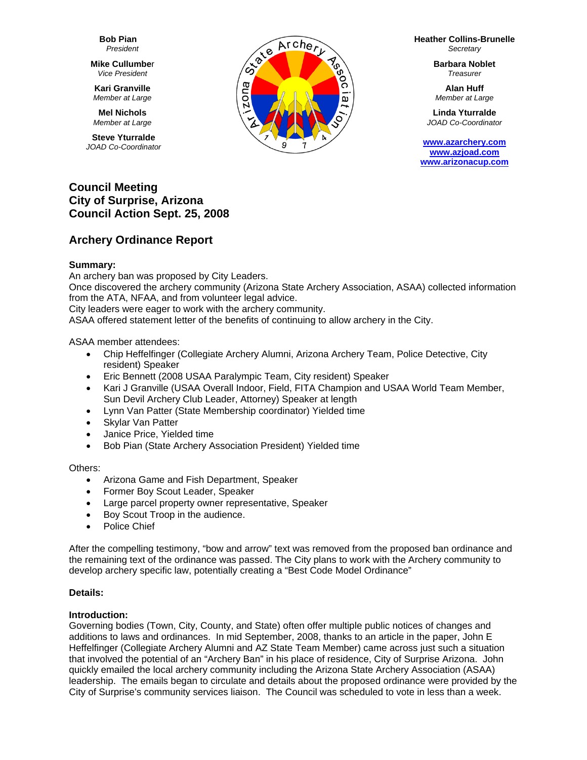**Bob Pian** *President* 

**Mike Cullumbe**r *Vice President* 

**Kari Granville**  *Member at Large*

**Mel Nichols**  *Member at Large*

**Steve Yturralde**  *JOAD Co-Coordinator* 



**Heather Collins-Brunelle** *Secretary* 

> **Barbara Noblet** *Treasurer*

**Alan Huff**  *Member at Large*

**Linda Yturralde**  *JOAD Co-Coordinator* 

**www.azarchery.com www.azjoad.com www.arizonacup.com**

# **Council Meeting City of Surprise, Arizona Council Action Sept. 25, 2008**

# **Archery Ordinance Report**

# **Summary:**

An archery ban was proposed by City Leaders.

Once discovered the archery community (Arizona State Archery Association, ASAA) collected information from the ATA, NFAA, and from volunteer legal advice.

City leaders were eager to work with the archery community.

ASAA offered statement letter of the benefits of continuing to allow archery in the City.

ASAA member attendees:

- Chip Heffelfinger (Collegiate Archery Alumni, Arizona Archery Team, Police Detective, City resident) Speaker
- Eric Bennett (2008 USAA Paralympic Team, City resident) Speaker
- Kari J Granville (USAA Overall Indoor, Field, FITA Champion and USAA World Team Member, Sun Devil Archery Club Leader, Attorney) Speaker at length
- Lynn Van Patter (State Membership coordinator) Yielded time
- Skylar Van Patter
- Janice Price, Yielded time
- Bob Pian (State Archery Association President) Yielded time

Others:

- Arizona Game and Fish Department, Speaker
- Former Boy Scout Leader, Speaker
- Large parcel property owner representative, Speaker
- Boy Scout Troop in the audience.
- Police Chief

After the compelling testimony, "bow and arrow" text was removed from the proposed ban ordinance and the remaining text of the ordinance was passed. The City plans to work with the Archery community to develop archery specific law, potentially creating a "Best Code Model Ordinance"

# **Details:**

# **Introduction:**

Governing bodies (Town, City, County, and State) often offer multiple public notices of changes and additions to laws and ordinances. In mid September, 2008, thanks to an article in the paper, John E Heffelfinger (Collegiate Archery Alumni and AZ State Team Member) came across just such a situation that involved the potential of an "Archery Ban" in his place of residence, City of Surprise Arizona. John quickly emailed the local archery community including the Arizona State Archery Association (ASAA) leadership. The emails began to circulate and details about the proposed ordinance were provided by the City of Surprise's community services liaison. The Council was scheduled to vote in less than a week.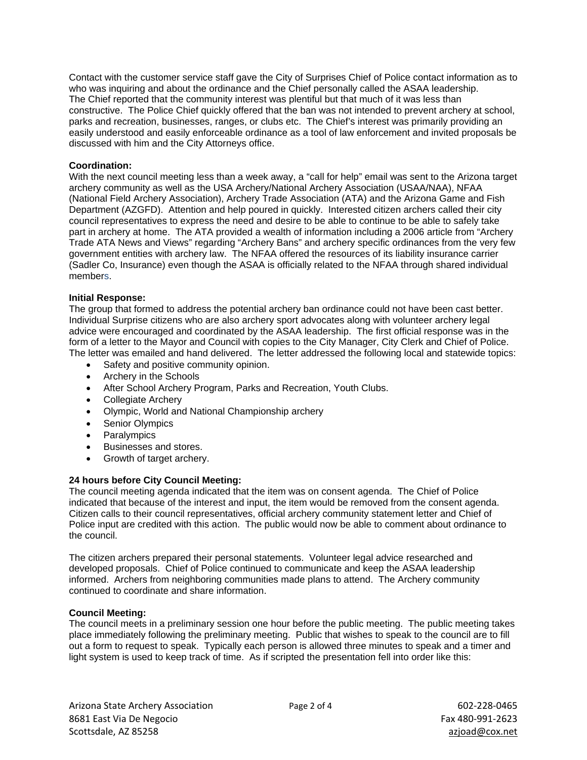Contact with the customer service staff gave the City of Surprises Chief of Police contact information as to who was inquiring and about the ordinance and the Chief personally called the ASAA leadership. The Chief reported that the community interest was plentiful but that much of it was less than constructive. The Police Chief quickly offered that the ban was not intended to prevent archery at school, parks and recreation, businesses, ranges, or clubs etc. The Chief's interest was primarily providing an easily understood and easily enforceable ordinance as a tool of law enforcement and invited proposals be discussed with him and the City Attorneys office.

#### **Coordination:**

With the next council meeting less than a week away, a "call for help" email was sent to the Arizona target archery community as well as the USA Archery/National Archery Association (USAA/NAA), NFAA (National Field Archery Association), Archery Trade Association (ATA) and the Arizona Game and Fish Department (AZGFD). Attention and help poured in quickly. Interested citizen archers called their city council representatives to express the need and desire to be able to continue to be able to safely take part in archery at home. The ATA provided a wealth of information including a 2006 article from "Archery Trade ATA News and Views" regarding "Archery Bans" and archery specific ordinances from the very few government entities with archery law. The NFAA offered the resources of its liability insurance carrier (Sadler Co, Insurance) even though the ASAA is officially related to the NFAA through shared individual members.

#### **Initial Response:**

The group that formed to address the potential archery ban ordinance could not have been cast better. Individual Surprise citizens who are also archery sport advocates along with volunteer archery legal advice were encouraged and coordinated by the ASAA leadership. The first official response was in the form of a letter to the Mayor and Council with copies to the City Manager, City Clerk and Chief of Police. The letter was emailed and hand delivered. The letter addressed the following local and statewide topics:

- Safety and positive community opinion.
- Archery in the Schools
- After School Archery Program, Parks and Recreation, Youth Clubs.
- Collegiate Archery
- Olympic, World and National Championship archery
- Senior Olympics
- Paralympics
- Businesses and stores.
- Growth of target archery.

# **24 hours before City Council Meeting:**

The council meeting agenda indicated that the item was on consent agenda. The Chief of Police indicated that because of the interest and input, the item would be removed from the consent agenda. Citizen calls to their council representatives, official archery community statement letter and Chief of Police input are credited with this action. The public would now be able to comment about ordinance to the council.

The citizen archers prepared their personal statements. Volunteer legal advice researched and developed proposals. Chief of Police continued to communicate and keep the ASAA leadership informed. Archers from neighboring communities made plans to attend. The Archery community continued to coordinate and share information.

#### **Council Meeting:**

The council meets in a preliminary session one hour before the public meeting. The public meeting takes place immediately following the preliminary meeting. Public that wishes to speak to the council are to fill out a form to request to speak. Typically each person is allowed three minutes to speak and a timer and light system is used to keep track of time. As if scripted the presentation fell into order like this: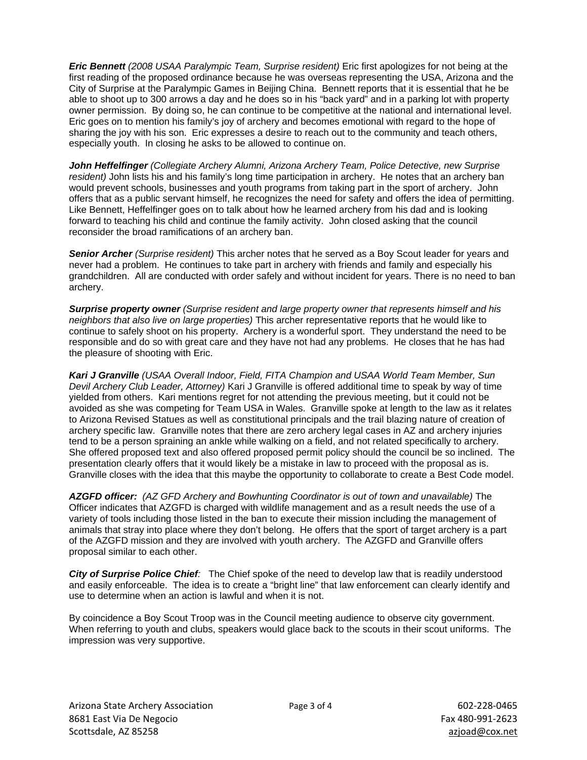*Eric Bennett (2008 USAA Paralympic Team, Surprise resident)* Eric first apologizes for not being at the first reading of the proposed ordinance because he was overseas representing the USA, Arizona and the City of Surprise at the Paralympic Games in Beijing China. Bennett reports that it is essential that he be able to shoot up to 300 arrows a day and he does so in his "back yard" and in a parking lot with property owner permission. By doing so, he can continue to be competitive at the national and international level. Eric goes on to mention his family's joy of archery and becomes emotional with regard to the hope of sharing the joy with his son. Eric expresses a desire to reach out to the community and teach others, especially youth. In closing he asks to be allowed to continue on.

*John Heffelfinger (Collegiate Archery Alumni, Arizona Archery Team, Police Detective, new Surprise resident)* John lists his and his family's long time participation in archery. He notes that an archery ban would prevent schools, businesses and youth programs from taking part in the sport of archery. John offers that as a public servant himself, he recognizes the need for safety and offers the idea of permitting. Like Bennett, Heffelfinger goes on to talk about how he learned archery from his dad and is looking forward to teaching his child and continue the family activity. John closed asking that the council reconsider the broad ramifications of an archery ban.

*Senior Archer (Surprise resident)* This archer notes that he served as a Boy Scout leader for years and never had a problem. He continues to take part in archery with friends and family and especially his grandchildren. All are conducted with order safely and without incident for years. There is no need to ban archery.

*Surprise property owner (Surprise resident and large property owner that represents himself and his neighbors that also live on large properties)* This archer representative reports that he would like to continue to safely shoot on his property. Archery is a wonderful sport. They understand the need to be responsible and do so with great care and they have not had any problems. He closes that he has had the pleasure of shooting with Eric.

*Kari J Granville (USAA Overall Indoor, Field, FITA Champion and USAA World Team Member, Sun Devil Archery Club Leader, Attorney)* Kari J Granville is offered additional time to speak by way of time yielded from others. Kari mentions regret for not attending the previous meeting, but it could not be avoided as she was competing for Team USA in Wales. Granville spoke at length to the law as it relates to Arizona Revised Statues as well as constitutional principals and the trail blazing nature of creation of archery specific law. Granville notes that there are zero archery legal cases in AZ and archery injuries tend to be a person spraining an ankle while walking on a field, and not related specifically to archery. She offered proposed text and also offered proposed permit policy should the council be so inclined. The presentation clearly offers that it would likely be a mistake in law to proceed with the proposal as is. Granville closes with the idea that this maybe the opportunity to collaborate to create a Best Code model.

*AZGFD officer: (AZ GFD Archery and Bowhunting Coordinator is out of town and unavailable)* The Officer indicates that AZGFD is charged with wildlife management and as a result needs the use of a variety of tools including those listed in the ban to execute their mission including the management of animals that stray into place where they don't belong. He offers that the sport of target archery is a part of the AZGFD mission and they are involved with youth archery. The AZGFD and Granville offers proposal similar to each other.

*City of Surprise Police Chief:* The Chief spoke of the need to develop law that is readily understood and easily enforceable. The idea is to create a "bright line" that law enforcement can clearly identify and use to determine when an action is lawful and when it is not.

By coincidence a Boy Scout Troop was in the Council meeting audience to observe city government. When referring to youth and clubs, speakers would glace back to the scouts in their scout uniforms. The impression was very supportive.